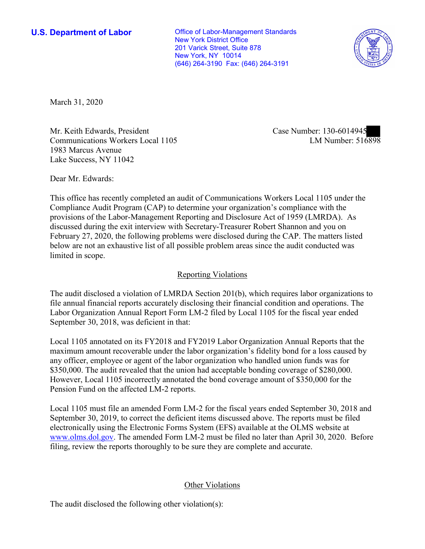New York, NY 10014 **U.S. Department of Labor Conservative Conservative Conservative Conservative U.S.** Department of Labor New York District Office 201 Varick Street, Suite 878 (646) 264-3190 Fax: (646) 264-3191



March 31, 2020

Mr. Keith Edwards, President Case Number: 130-6014945 Communications Workers Local 1105 1983 Marcus Avenue Lake Success, NY 11042

LM Number: 516898

Dear Mr. Edwards:

 This office has recently completed an audit of Communications Workers Local 1105 under the Compliance Audit Program (CAP) to determine your organization's compliance with the provisions of the Labor-Management Reporting and Disclosure Act of 1959 (LMRDA). As discussed during the exit interview with Secretary-Treasurer Robert Shannon and you on February 27, 2020, the following problems were disclosed during the CAP. The matters listed below are not an exhaustive list of all possible problem areas since the audit conducted was limited in scope.

## Reporting Violations

 Labor Organization Annual Report Form LM-2 filed by Local 1105 for the fiscal year ended The audit disclosed a violation of LMRDA Section 201(b), which requires labor organizations to file annual financial reports accurately disclosing their financial condition and operations. The September 30, 2018, was deficient in that:

 any officer, employee or agent of the labor organization who handled union funds was for Local 1105 annotated on its FY2018 and FY2019 Labor Organization Annual Reports that the maximum amount recoverable under the labor organization's fidelity bond for a loss caused by \$350,000. The audit revealed that the union had acceptable bonding coverage of \$280,000. However, Local 1105 incorrectly annotated the bond coverage amount of \$350,000 for the Pension Fund on the affected LM-2 reports.

 filing, review the reports thoroughly to be sure they are complete and accurate. Local 1105 must file an amended Form LM-2 for the fiscal years ended September 30, 2018 and September 30, 2019, to correct the deficient items discussed above. The reports must be filed electronically using the Electronic Forms System (EFS) available at the OLMS website at [www.olms.dol.gov.](www.olms.dol.gov) The amended Form LM-2 must be filed no later than April 30, 2020. Before

## Other Violations

The audit disclosed the following other violation(s):